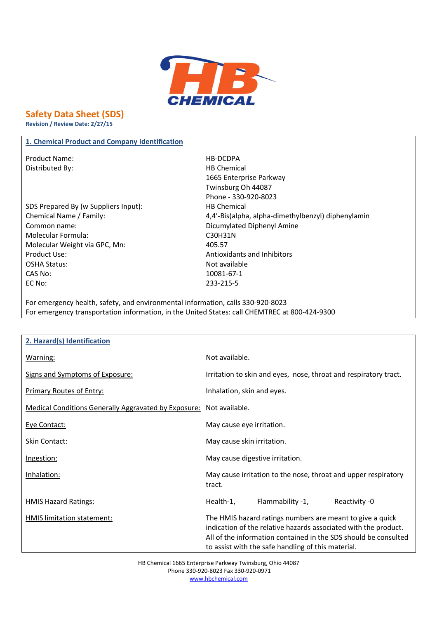

## **Safety Data Sheet (SDS)**

**Revision / Review Date: 2/27/15**

### **1. Chemical Product and Company Identification**

Product Name: Name: Name and Allen Management Allen Management Allen Management Allen Management Allen Management Allen Management Allen Management Allen Management Allen Management Allen Management Allen Management Allen Distributed By: Notice and Separate Separate Separate Separate Separate Separate Separate Separate Separate Separate Separate Separate Separate Separate Separate Separate Separate Separate Separate Separate Separate Separa

SDS Prepared By (w Suppliers Input): HB Chemical Common name: Common name: Common name: Dicumylated Diphenyl Amine Molecular Formula: C30H31N Molecular Weight via GPC, Mn: 405.57 Product Use: The Community of the Antioxidants and Inhibitors and Inhibitors and Inhibitors and Inhibitors and Inhibitors and Inhibitors and Inhibitors and Inhibitors and Inhibitors and Inhibitors and Inhibitors and Inhibi OSHA Status: Not available CAS No: 10081-67-1 EC No: 233-215-5

1665 Enterprise Parkway Twinsburg Oh 44087 Phone - 330-920-8023 Chemical Name / Family: 4,4'-Bis(alpha, alpha-dimethylbenzyl) diphenylamin

For emergency health, safety, and environmental information, calls 330-920-8023 For emergency transportation information, in the United States: call CHEMTREC at 800-424-9300

| 2. Hazard(s) Identification                                         |                                                                                                                                                                                                                                                       |
|---------------------------------------------------------------------|-------------------------------------------------------------------------------------------------------------------------------------------------------------------------------------------------------------------------------------------------------|
| Warning:                                                            | Not available.                                                                                                                                                                                                                                        |
| Signs and Symptoms of Exposure:                                     | Irritation to skin and eyes, nose, throat and respiratory tract.                                                                                                                                                                                      |
| <b>Primary Routes of Entry:</b>                                     | Inhalation, skin and eyes.                                                                                                                                                                                                                            |
| Medical Conditions Generally Aggravated by Exposure: Not available. |                                                                                                                                                                                                                                                       |
| Eye Contact:                                                        | May cause eye irritation.                                                                                                                                                                                                                             |
| <b>Skin Contact:</b>                                                | May cause skin irritation.                                                                                                                                                                                                                            |
| <u>Ingestion:</u>                                                   | May cause digestive irritation.                                                                                                                                                                                                                       |
| Inhalation:                                                         | May cause irritation to the nose, throat and upper respiratory<br>tract.                                                                                                                                                                              |
| <b>HMIS Hazard Ratings:</b>                                         | Flammability -1,<br>Reactivity -0<br>Health-1,                                                                                                                                                                                                        |
| HMIS limitation statement:                                          | The HMIS hazard ratings numbers are meant to give a quick<br>indication of the relative hazards associated with the product.<br>All of the information contained in the SDS should be consulted<br>to assist with the safe handling of this material. |

HB Chemical 1665 Enterprise Parkway Twinsburg, Ohio 44087 Phone 330-920-8023 Fax 330-920-0971 www.hbchemical.com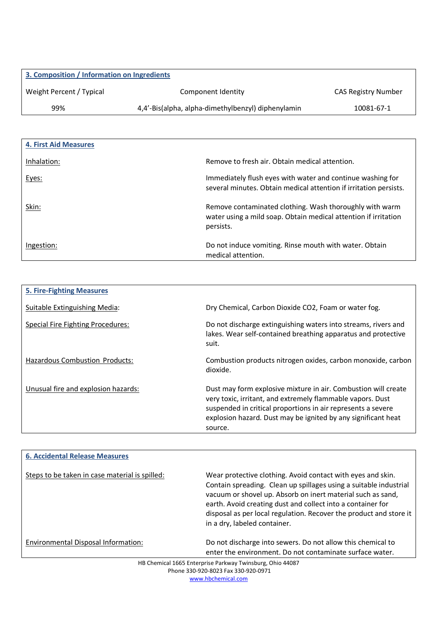| 3. Composition / Information on Ingredients |                                                    |                     |
|---------------------------------------------|----------------------------------------------------|---------------------|
| Weight Percent / Typical                    | Component Identity                                 | CAS Registry Number |
| 99%                                         | 4,4'-Bis(alpha, alpha-dimethylbenzyl) diphenylamin | 10081-67-1          |

| <b>4. First Aid Measures</b> |                                                                                                                                         |
|------------------------------|-----------------------------------------------------------------------------------------------------------------------------------------|
| Inhalation:                  | Remove to fresh air. Obtain medical attention.                                                                                          |
| Eyes:                        | Immediately flush eyes with water and continue washing for<br>several minutes. Obtain medical attention if irritation persists.         |
| Skin:                        | Remove contaminated clothing. Wash thoroughly with warm<br>water using a mild soap. Obtain medical attention if irritation<br>persists. |
| Ingestion:                   | Do not induce vomiting. Rinse mouth with water. Obtain<br>medical attention.                                                            |

| <b>5. Fire-Fighting Measures</b>    |                                                                                                                                                                                                                                                                          |
|-------------------------------------|--------------------------------------------------------------------------------------------------------------------------------------------------------------------------------------------------------------------------------------------------------------------------|
| Suitable Extinguishing Media:       | Dry Chemical, Carbon Dioxide CO2, Foam or water fog.                                                                                                                                                                                                                     |
| Special Fire Fighting Procedures:   | Do not discharge extinguishing waters into streams, rivers and<br>lakes. Wear self-contained breathing apparatus and protective<br>suit.                                                                                                                                 |
| Hazardous Combustion Products:      | Combustion products nitrogen oxides, carbon monoxide, carbon<br>dioxide.                                                                                                                                                                                                 |
| Unusual fire and explosion hazards: | Dust may form explosive mixture in air. Combustion will create<br>very toxic, irritant, and extremely flammable vapors. Dust<br>suspended in critical proportions in air represents a severe<br>explosion hazard. Dust may be ignited by any significant heat<br>source. |

| <b>6. Accidental Release Measures</b>          |                                                                                                                                                                                                                                                                                                                                                                      |
|------------------------------------------------|----------------------------------------------------------------------------------------------------------------------------------------------------------------------------------------------------------------------------------------------------------------------------------------------------------------------------------------------------------------------|
| Steps to be taken in case material is spilled: | Wear protective clothing. Avoid contact with eyes and skin.<br>Contain spreading. Clean up spillages using a suitable industrial<br>vacuum or shovel up. Absorb on inert material such as sand,<br>earth. Avoid creating dust and collect into a container for<br>disposal as per local regulation. Recover the product and store it<br>in a dry, labeled container. |
| Environmental Disposal Information:            | Do not discharge into sewers. Do not allow this chemical to<br>enter the environment. Do not contaminate surface water.                                                                                                                                                                                                                                              |

HB Chemical 1665 Enterprise Parkway Twinsburg, Ohio 44087 Phone 330-920-8023 Fax 330-920-0971 www.hbchemical.com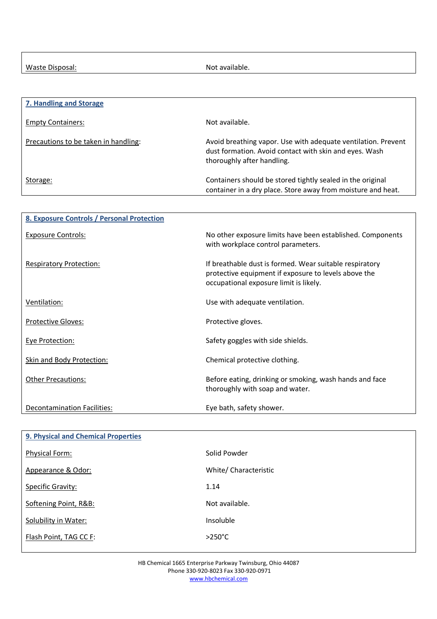Waste Disposal: Not available.

| 7. Handling and Storage              |                                                                                                                                                       |
|--------------------------------------|-------------------------------------------------------------------------------------------------------------------------------------------------------|
| <b>Empty Containers:</b>             | Not available.                                                                                                                                        |
| Precautions to be taken in handling: | Avoid breathing vapor. Use with adequate ventilation. Prevent<br>dust formation. Avoid contact with skin and eyes. Wash<br>thoroughly after handling. |
| Storage:                             | Containers should be stored tightly sealed in the original<br>container in a dry place. Store away from moisture and heat.                            |

| 8. Exposure Controls / Personal Protection |                                                                                                                                                           |
|--------------------------------------------|-----------------------------------------------------------------------------------------------------------------------------------------------------------|
| Exposure Controls:                         | No other exposure limits have been established. Components<br>with workplace control parameters.                                                          |
| <b>Respiratory Protection:</b>             | If breathable dust is formed. Wear suitable respiratory<br>protective equipment if exposure to levels above the<br>occupational exposure limit is likely. |
| Ventilation:                               | Use with adequate ventilation.                                                                                                                            |
| <b>Protective Gloves:</b>                  | Protective gloves.                                                                                                                                        |
| Eye Protection:                            | Safety goggles with side shields.                                                                                                                         |
| Skin and Body Protection:                  | Chemical protective clothing.                                                                                                                             |
| <b>Other Precautions:</b>                  | Before eating, drinking or smoking, wash hands and face<br>thoroughly with soap and water.                                                                |
| <b>Decontamination Facilities:</b>         | Eye bath, safety shower.                                                                                                                                  |

| <b>9. Physical and Chemical Properties</b> |                       |
|--------------------------------------------|-----------------------|
| <b>Physical Form:</b>                      | Solid Powder          |
| Appearance & Odor:                         | White/ Characteristic |
| Specific Gravity:                          | 1.14                  |
| Softening Point, R&B:                      | Not available.        |
| Solubility in Water:                       | Insoluble             |
| Flash Point, TAG CC F:                     | $>250^{\circ}$ C      |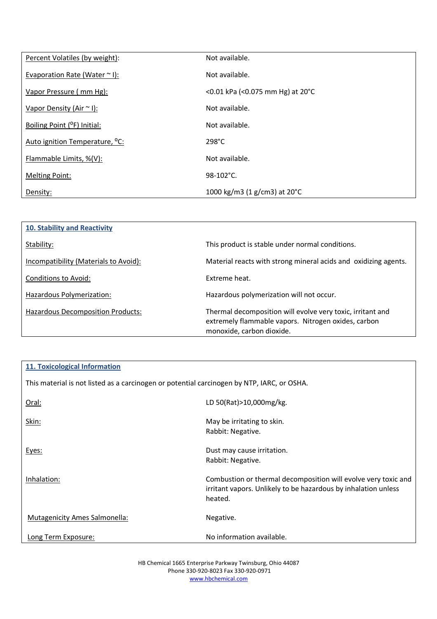| Percent Volatiles (by weight):             | Not available.                         |
|--------------------------------------------|----------------------------------------|
| Evaporation Rate (Water $\sim$ I):         | Not available.                         |
| Vapor Pressure (mm Hg):                    | <0.01 kPa (<0.075 mm Hg) at 20°C       |
| Vapor Density (Air ~ I):                   | Not available.                         |
| Boiling Point (°F) Initial:                | Not available.                         |
| Auto ignition Temperature, <sup>o</sup> C: | $298^{\circ}$ C                        |
| Flammable Limits, %(V):                    | Not available.                         |
| <b>Melting Point:</b>                      | $98-102$ °C.                           |
| Density:                                   | 1000 kg/m3 (1 g/cm3) at $20^{\circ}$ C |

| 10. Stability and Reactivity             |                                                                                                                                                |
|------------------------------------------|------------------------------------------------------------------------------------------------------------------------------------------------|
| Stability:                               | This product is stable under normal conditions.                                                                                                |
| Incompatibility (Materials to Avoid):    | Material reacts with strong mineral acids and oxidizing agents.                                                                                |
| Conditions to Avoid:                     | Extreme heat.                                                                                                                                  |
| Hazardous Polymerization:                | Hazardous polymerization will not occur.                                                                                                       |
| <b>Hazardous Decomposition Products:</b> | Thermal decomposition will evolve very toxic, irritant and<br>extremely flammable vapors. Nitrogen oxides, carbon<br>monoxide, carbon dioxide. |

# **11. Toxicological Information** This material is not listed as a carcinogen or potential carcinogen by NTP, IARC, or OSHA. Oral: LD 50(Rat)>10,000mg/kg.

| UI ai.                        | LD JUINALIZIU, UUUIIIKI NK                                                                                                                  |
|-------------------------------|---------------------------------------------------------------------------------------------------------------------------------------------|
| Skin:                         | May be irritating to skin.                                                                                                                  |
|                               | Rabbit: Negative.                                                                                                                           |
| Eyes:                         | Dust may cause irritation.                                                                                                                  |
|                               | Rabbit: Negative.                                                                                                                           |
| Inhalation:                   | Combustion or thermal decomposition will evolve very toxic and<br>irritant vapors. Unlikely to be hazardous by inhalation unless<br>heated. |
| Mutagenicity Ames Salmonella: | Negative.                                                                                                                                   |
| Long Term Exposure:           | No information available.                                                                                                                   |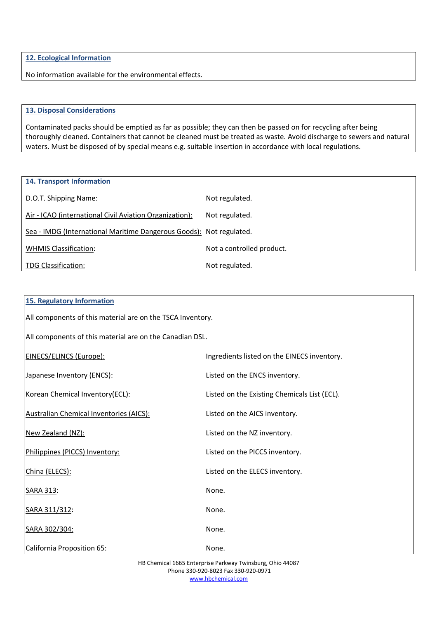**12. Ecological Information**

No information available for the environmental effects.

#### **13. Disposal Considerations**

Contaminated packs should be emptied as far as possible; they can then be passed on for recycling after being thoroughly cleaned. Containers that cannot be cleaned must be treated as waste. Avoid discharge to sewers and natural waters. Must be disposed of by special means e.g. suitable insertion in accordance with local regulations.

| <b>14. Transport Information</b>                                    |                           |
|---------------------------------------------------------------------|---------------------------|
| D.O.T. Shipping Name:                                               | Not regulated.            |
| Air - ICAO (international Civil Aviation Organization):             | Not regulated.            |
| Sea - IMDG (International Maritime Dangerous Goods): Not regulated. |                           |
| <b>WHMIS Classification:</b>                                        | Not a controlled product. |
| <b>TDG Classification:</b>                                          | Not regulated.            |

| <b>15. Regulatory Information</b>                          |                                              |  |
|------------------------------------------------------------|----------------------------------------------|--|
| All components of this material are on the TSCA Inventory. |                                              |  |
| All components of this material are on the Canadian DSL.   |                                              |  |
| <b>EINECS/ELINCS (Europe):</b>                             | Ingredients listed on the EINECS inventory.  |  |
| Japanese Inventory (ENCS):                                 | Listed on the ENCS inventory.                |  |
| Korean Chemical Inventory(ECL):                            | Listed on the Existing Chemicals List (ECL). |  |
| <b>Australian Chemical Inventories (AICS):</b>             | Listed on the AICS inventory.                |  |
| New Zealand (NZ):                                          | Listed on the NZ inventory.                  |  |
| Philippines (PICCS) Inventory:                             | Listed on the PICCS inventory.               |  |
| China (ELECS):                                             | Listed on the ELECS inventory.               |  |
| <b>SARA 313:</b>                                           | None.                                        |  |
| SARA 311/312:                                              | None.                                        |  |
| SARA 302/304:                                              | None.                                        |  |
| California Proposition 65:                                 | None.                                        |  |

HB Chemical 1665 Enterprise Parkway Twinsburg, Ohio 44087 Phone 330-920-8023 Fax 330-920-0971 www.hbchemical.com